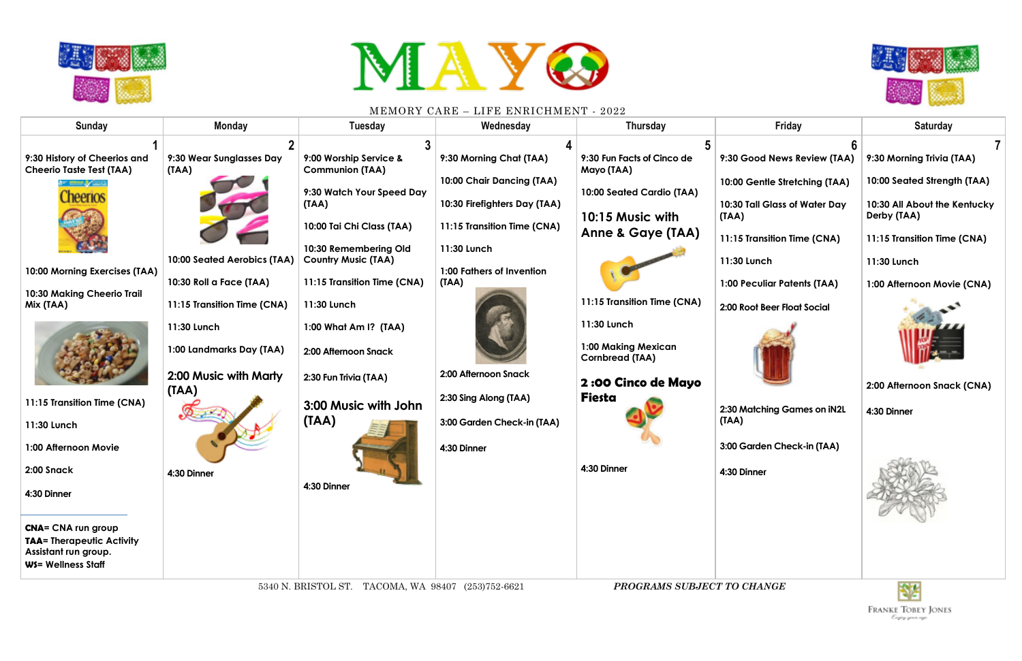



| 9:30 History of Cheerios and<br>9:30 Wear Sunglasses Day<br>9:00 Worship Service &<br>9:30 Morning Chat (TAA)<br>9:30 Fun Facts of Cinco de<br>9:30 Good News Review (TAA)<br><b>Cheerio Taste Test (TAA)</b><br>(TAA)<br><b>Communion (TAA)</b><br>Mayo (TAA)<br>10:00 Chair Dancing (TAA)<br>10:00 Gentle Stretching (TAA)<br>9:30 Watch Your Speed Day<br>10:00 Seated Cardio (TAA)<br>heerios<br>10:30 Firefighters Day (TAA)<br>(TAA)<br>10:30 Tall Glass of Water Day<br>10:15 Music with<br>Derby (TAA)<br>(TAA)<br>10:00 Tai Chi Class (TAA)<br>11:15 Transition Time (CNA)<br>Anne & Gaye (TAA)<br>11:15 Transition Time (CNA)                                                                                                                                                                                                                                                                                                                                                                                                                                                                                                                                                      | <b>Sunday</b> | <b>Monday</b> | <b>Tuesday</b>        | Wednesday   | <b>Thursday</b> | <b>Friday</b> | <b>Saturday</b>                                                                                                                                                                     |
|----------------------------------------------------------------------------------------------------------------------------------------------------------------------------------------------------------------------------------------------------------------------------------------------------------------------------------------------------------------------------------------------------------------------------------------------------------------------------------------------------------------------------------------------------------------------------------------------------------------------------------------------------------------------------------------------------------------------------------------------------------------------------------------------------------------------------------------------------------------------------------------------------------------------------------------------------------------------------------------------------------------------------------------------------------------------------------------------------------------------------------------------------------------------------------------------|---------------|---------------|-----------------------|-------------|-----------------|---------------|-------------------------------------------------------------------------------------------------------------------------------------------------------------------------------------|
| 10:00 Seated Aerobics (TAA)<br><b>Country Music (TAA)</b><br>11:30 Lunch<br>11:30 Lunch<br>1:00 Fathers of Invention<br>10:00 Morning Exercises (TAA)<br>10:30 Roll a Face (TAA)<br>11:15 Transition Time (CNA)<br>(TAA)<br><b>1:00 Peculiar Patents (TAA)</b><br>10:30 Making Cheerio Trail<br>11:15 Transition Time (CNA)<br>11:15 Transition Time (CNA)<br>11:30 Lunch<br>Mix (TAA)<br>2:00 Root Beer Float Social<br>11:30 Lunch<br>11:30 Lunch<br>1:00 What Am I? (TAA)<br>1:00 Making Mexican<br>1:00 Landmarks Day (TAA)<br>2:00 Afternoon Snack<br><b>Cornbread (TAA)</b><br>2:00 Afternoon Snack<br>2:00 Music with Marty<br>2:30 Fun Trivia (TAA)<br><b>2:00 Cinco de Mayo</b><br>(TAA)<br><b>Fiesta</b><br>2:30 Sing Along (TAA)<br>11:15 Transition Time (CNA)<br>3:00 Music with John<br>2:30 Matching Games on IN2L<br>4:30 Dinner<br>(IAA)<br>(TAA)<br>3:00 Garden Check-in (TAA)<br>11:30 Lunch<br>3:00 Garden Check-in (TAA)<br>1:00 Afternoon Movie<br>4:30 Dinner<br>4:30 Dinner<br>2:00 Snack<br>4:30 Dinner<br>4:30 Dinner<br>4:30 Dinner<br>4:30 Dinner<br><b>CNA= CNA run group</b><br><b>TAA= Therapeutic Activity</b><br>Assistant run group.<br>WS= Wellness Staff |               |               | 10:30 Remembering Old | 11:30 Lunch |                 |               | 9:30 Morning Trivia (TAA)<br>10:00 Seated Strength (TAA)<br>10:30 All About the Kentucky<br>11:15 Transition Time (CNA)<br>1:00 Afternoon Movie (CNA)<br>2:00 Afternoon Snack (CNA) |



|  | I<br>I<br>L. | -<br>с. | ١ |
|--|--------------|---------|---|

- **9:30 Good News Review (TAA)**
- **10:00 Gentle Stretching (TAA)**
- **10:30 Tall Glass of Water Day**
- **11:15 Transition Time (CNA)**
- unch
- **1:00 Peculiar Patents (TAA)**
- **2:00 Root Beer Float Social**



- **2:30 Matching Games on iN2L**
- **3:00 Garden Check-in (TAA)**

- **9:30 Morning Trivia (TAA)**
- **10:00 Seated Strength (TAA)**

- **11:15 Transition Time (CNA)**
- **11:30 Lunch**
- **1:00 Afternoon Movie (CNA)**



- **2:00 Afternoon Snack (CNA)**
- **4:30 Dinner**



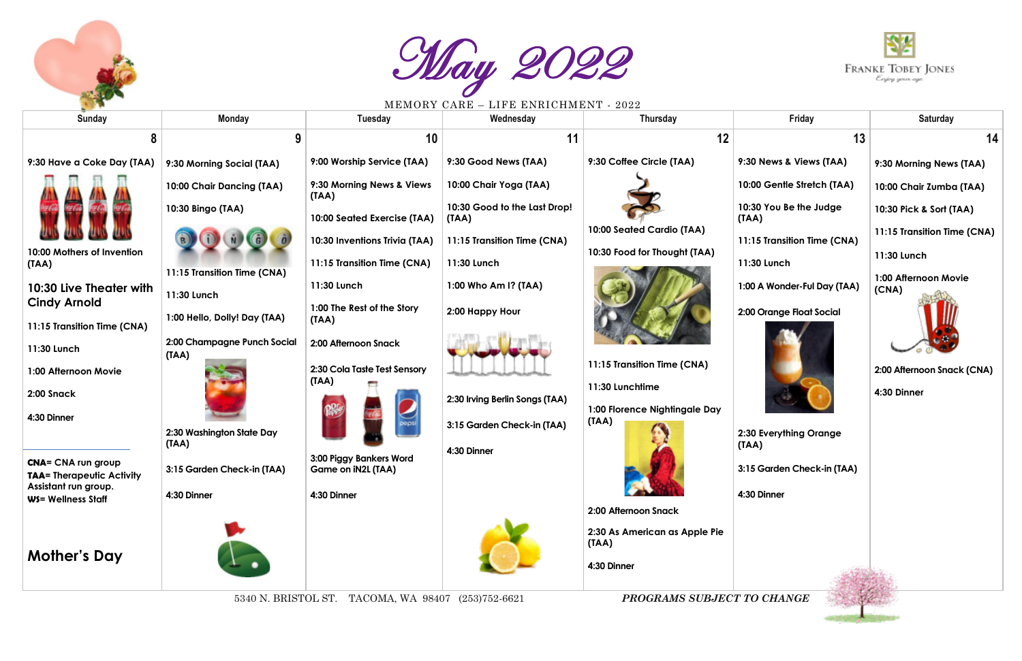

May 2022

| <b>Sunday</b>                                            | <b>Monday</b>                        | MENIORI CIIRE<br>Tuesday                                                                                                                                                                                                                                                                                                                                                                                                          | THE B BINICLOHIM BIN I<br>Wednesday   | -4044<br>Thursday                      | Friday                          | <b>Saturday</b>               |
|----------------------------------------------------------|--------------------------------------|-----------------------------------------------------------------------------------------------------------------------------------------------------------------------------------------------------------------------------------------------------------------------------------------------------------------------------------------------------------------------------------------------------------------------------------|---------------------------------------|----------------------------------------|---------------------------------|-------------------------------|
|                                                          |                                      | 10                                                                                                                                                                                                                                                                                                                                                                                                                                | 11                                    | 12                                     | 13                              | 14                            |
| 9:30 Have a Coke Day (TAA)                               | 9:30 Morning Social (TAA)            | 9:00 Worship Service (TAA)                                                                                                                                                                                                                                                                                                                                                                                                        | 9:30 Good News (TAA)                  | 9:30 Coffee Circle (TAA)               | 9:30 News & Views (TAA)         | 9:30 Morning News (TAA)       |
|                                                          | 10:00 Chair Dancing (TAA)            | 9:30 Morning News & Views<br>(TAA)                                                                                                                                                                                                                                                                                                                                                                                                | 10:00 Chair Yoga (TAA)                |                                        | 10:00 Gentle Stretch (TAA)      | 10:00 Chair Zumba (TAA)       |
|                                                          | 10:30 Bingo (TAA)                    | 10:00 Seated Exercise (TAA)                                                                                                                                                                                                                                                                                                                                                                                                       | 10:30 Good to the Last Drop!<br>(IAA) |                                        | 10:30 You Be the Judge<br>(TAA) | 10:30 Pick & Sort (TAA)       |
|                                                          |                                      | 10:30 Inventions Trivia (TAA)                                                                                                                                                                                                                                                                                                                                                                                                     | 11:15 Transition Time (CNA)           | 10:00 Seated Cardio (TAA)              | 11:15 Transition Time (CNA)     | 11:15 Transition Time (CNA)   |
| 10:00 Mothers of Invention<br>(TAA)                      |                                      | 11:15 Transition Time (CNA)                                                                                                                                                                                                                                                                                                                                                                                                       | 11:30 Lunch                           | 10:30 Food for Thought (TAA)           | 11:30 Lunch                     | 11:30 Lunch                   |
| 10:30 Live Theater with                                  | 11:15 Transition Time (CNA)          | 11:30 Lunch                                                                                                                                                                                                                                                                                                                                                                                                                       | 1:00 Who Am I? (TAA)                  |                                        | 1:00 A Wonder-Ful Day (TAA)     | 1:00 Afternoon Movie<br>(CNA) |
| <b>Cindy Arnold</b>                                      | 11:30 Lunch                          | 1:00 The Rest of the Story                                                                                                                                                                                                                                                                                                                                                                                                        | 2:00 Happy Hour                       |                                        | 2:00 Orange Float Social        |                               |
| 11:15 Transition Time (CNA)                              | 1:00 Hello, Dolly! Day (TAA)         | (TAA)                                                                                                                                                                                                                                                                                                                                                                                                                             |                                       |                                        |                                 |                               |
| 11:30 Lunch                                              | 2:00 Champagne Punch Social<br>(TAA) | 2:00 Afternoon Snack                                                                                                                                                                                                                                                                                                                                                                                                              |                                       |                                        |                                 |                               |
| 1:00 Afternoon Movie                                     |                                      | 2:30 Cola Taste Test Sensory<br>(TAA)                                                                                                                                                                                                                                                                                                                                                                                             |                                       | 11:15 Transition Time (CNA)            |                                 | 2:00 Afternoon Snack (CNA)    |
| 2:00 Snack                                               |                                      |                                                                                                                                                                                                                                                                                                                                                                                                                                   | 2:30 Irving Berlin Songs (TAA)        | 11:30 Lunchtime                        |                                 | 4:30 Dinner                   |
| 4:30 Dinner                                              |                                      |                                                                                                                                                                                                                                                                                                                                                                                                                                   | 3:15 Garden Check-in (TAA)            | 1:00 Florence Nightingale Day<br>(TAA) |                                 |                               |
|                                                          | 2:30 Washington State Day<br>(TAA)   |                                                                                                                                                                                                                                                                                                                                                                                                                                   |                                       |                                        | 2:30 Everything Orange<br>(TAA) |                               |
| <b>CNA= CNA run group</b>                                | 3:15 Garden Check-in (TAA)           | 3:00 Piggy Bankers Word<br>Game on iN2L (TAA)                                                                                                                                                                                                                                                                                                                                                                                     | 4:30 Dinner                           |                                        | 3:15 Garden Check-in (TAA)      |                               |
| <b>TAA= Therapeutic Activity</b><br>Assistant run group. | 4:30 Dinner                          |                                                                                                                                                                                                                                                                                                                                                                                                                                   |                                       |                                        | 4:30 Dinner                     |                               |
| <b>WS= Wellness Staff</b>                                |                                      | 4:30 Dinner                                                                                                                                                                                                                                                                                                                                                                                                                       |                                       | 2:00 Afternoon Snack                   |                                 |                               |
|                                                          |                                      |                                                                                                                                                                                                                                                                                                                                                                                                                                   |                                       | 2:30 As American as Apple Pie          |                                 |                               |
| <b>Mother's Day</b>                                      |                                      |                                                                                                                                                                                                                                                                                                                                                                                                                                   |                                       | (TAA)                                  |                                 |                               |
|                                                          |                                      |                                                                                                                                                                                                                                                                                                                                                                                                                                   |                                       | 4:30 Dinner                            |                                 |                               |
|                                                          |                                      | $\overline{M}$ $\overline{M}$ $\overline{M}$ $\overline{M}$ $\overline{M}$ $\overline{M}$ $\overline{M}$ $\overline{M}$ $\overline{M}$ $\overline{M}$ $\overline{M}$ $\overline{M}$ $\overline{M}$ $\overline{M}$ $\overline{M}$ $\overline{M}$ $\overline{M}$ $\overline{M}$ $\overline{M}$ $\overline{M}$ $\overline{M}$ $\overline{M}$ $\overline{M}$ $\overline{M}$ $\overline{M}$ $\overline{M}$ $\overline{M}$ $\overline{$ |                                       | DDOOD 4150 011D IROT TO OILANA         |                                 |                               |

5340 N. BRISTOL ST. TACOMA, WA 98407 (253)752-6621 *PROGRAMS SUBJECT TO CHANGE*

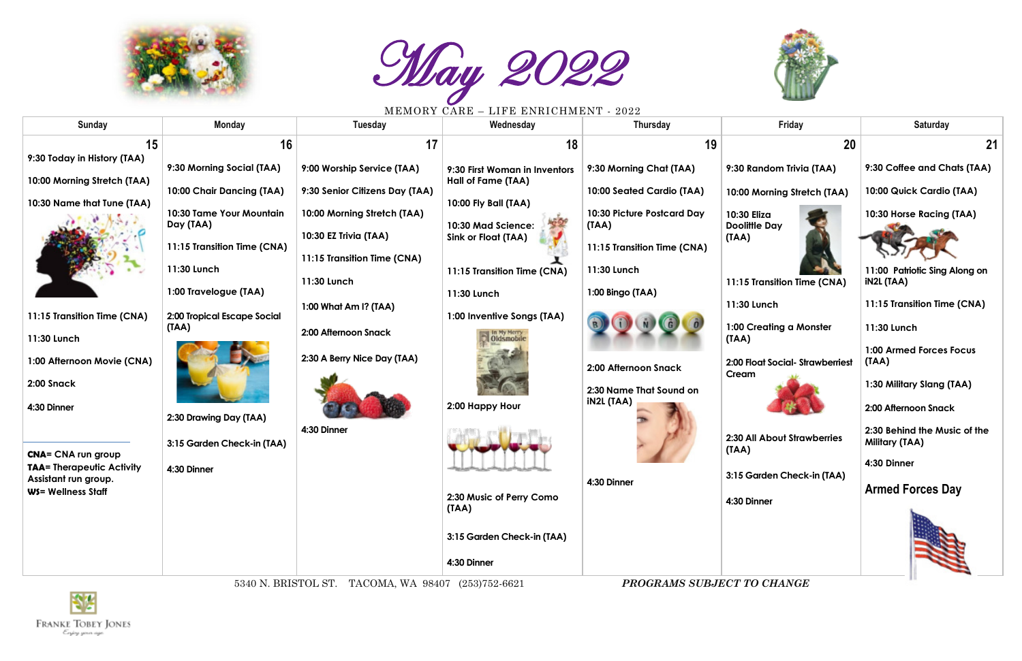



| <b>Sunday</b>                              | <b>Monday</b>                         | <b>Tuesday</b>                                       | Wednesday                                           | <b>Thursday</b>                              | Friday                                      | <b>Saturday</b>                                       |
|--------------------------------------------|---------------------------------------|------------------------------------------------------|-----------------------------------------------------|----------------------------------------------|---------------------------------------------|-------------------------------------------------------|
| 15                                         | 16                                    | 17                                                   | 18                                                  | 19                                           | 20                                          | 21                                                    |
| 9:30 Today in History (TAA)                | 9:30 Morning Social (TAA)             | 9:00 Worship Service (TAA)                           | 9:30 First Woman in Inventors<br>Hall of Fame (TAA) | 9:30 Morning Chat (TAA)                      | 9:30 Random Trivia (TAA)                    | 9:30 Coffee and Chats (TAA)                           |
| 10:00 Morning Stretch (TAA)                | 10:00 Chair Dancing (TAA)             | 9:30 Senior Citizens Day (TAA)                       |                                                     | 10:00 Seated Cardio (TAA)                    | 10:00 Morning Stretch (TAA)                 | 10:00 Quick Cardio (TAA)                              |
| 10:30 Name that Tune (TAA)                 | 10:30 Tame Your Mountain<br>Day (TAA) | 10:00 Morning Stretch (TAA)                          | 10:00 Fly Ball (TAA)<br>10:30 Mad Science:          | 10:30 Picture Postcard Day<br>(TAA)          | 10:30 Eliza<br><b>Doolittle Day</b>         | 10:30 Horse Racing (TAA)                              |
|                                            | 11:15 Transition Time (CNA)           | 10:30 EZ Trivia (TAA)<br>11:15 Transition Time (CNA) | <b>Sink or Float (TAA)</b>                          | 11:15 Transition Time (CNA)                  | (TAA)                                       |                                                       |
|                                            | 11:30 Lunch                           | 11:30 Lunch                                          | 11:15 Transition Time (CNA)                         | 11:30 Lunch                                  | 11:15 Transition Time (CNA)                 | 11:00 Patriotic Sing Along on<br><b>iN2L (TAA)</b>    |
|                                            | 1:00 Travelogue (TAA)                 | 1:00 What Am I? (TAA)                                | 11:30 Lunch                                         | 1:00 Bingo (TAA)                             | 11:30 Lunch                                 | 11:15 Transition Time (CNA)                           |
| 11:15 Transition Time (CNA)                | 2:00 Tropical Escape Social<br>(TAA)  | 2:00 Afternoon Snack                                 | 1:00 Inventive Songs (TAA)                          |                                              | 1:00 Creating a Monster                     | 11:30 Lunch                                           |
| 11:30 Lunch                                |                                       |                                                      | In My Merry                                         |                                              | (TAA)                                       | <b>1:00 Armed Forces Focus</b>                        |
| 1:00 Afternoon Movie (CNA)                 |                                       | 2:30 A Berry Nice Day (TAA)                          |                                                     | 2:00 Afternoon Snack                         | 2:00 Float Social-Strawberriest<br>Cream    | (TAA)                                                 |
| 2:00 Snack                                 |                                       |                                                      |                                                     | 2:30 Name That Sound on<br><b>IN2L (TAA)</b> |                                             | 1:30 Military Slang (TAA)                             |
| 4:30 Dinner                                | 2:30 Drawing Day (TAA)                | 4:30 Dinner                                          | 2:00 Happy Hour                                     |                                              |                                             | 2:00 Afternoon Snack                                  |
| <b>CNA= CNA run group</b>                  | 3:15 Garden Check-in (TAA)            |                                                      |                                                     |                                              | <b>2:30 All About Strawberries</b><br>(TAA) | 2:30 Behind the Music of the<br><b>Military (TAA)</b> |
| <b>TAA= Therapeutic Activity</b>           | 4:30 Dinner                           |                                                      |                                                     |                                              | 3:15 Garden Check-in (TAA)                  | 4:30 Dinner                                           |
| Assistant run group.<br>WS= Wellness Staff |                                       |                                                      | 2:30 Music of Perry Como                            | 4:30 Dinner                                  | 4:30 Dinner                                 | <b>Armed Forces Day</b>                               |
|                                            |                                       |                                                      | (TAA)                                               |                                              |                                             |                                                       |
|                                            |                                       |                                                      | 3:15 Garden Check-in (TAA)                          |                                              |                                             |                                                       |
|                                            |                                       |                                                      | 4:30 Dinner                                         |                                              |                                             |                                                       |

5340 N. BRISTOL ST. TACOMA, WA 98407 (253)752-6621 *PROGRAMS SUBJECT TO CHANGE*



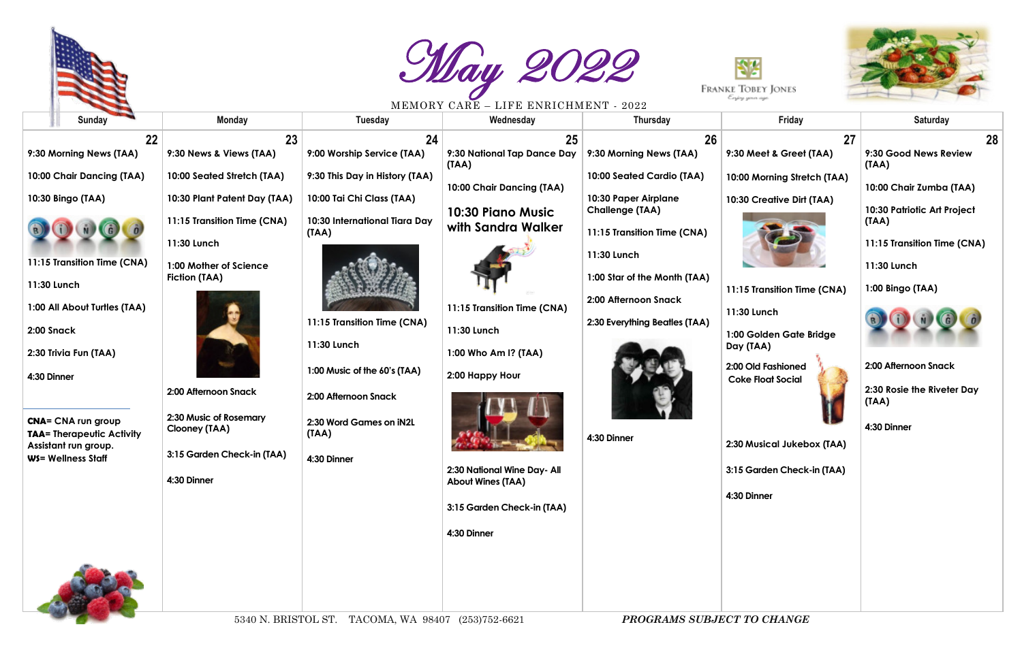





|                                                                                                                    |                                                                                       | MERINI OTA U VITILI                                         | LILE BRINICHMENT - 4044                                                                              |                                                                             |                                                                         |                                                                         |    |
|--------------------------------------------------------------------------------------------------------------------|---------------------------------------------------------------------------------------|-------------------------------------------------------------|------------------------------------------------------------------------------------------------------|-----------------------------------------------------------------------------|-------------------------------------------------------------------------|-------------------------------------------------------------------------|----|
| <b>Sunday</b>                                                                                                      | <b>Monday</b>                                                                         | Tuesday                                                     | Wednesday                                                                                            | <b>Thursday</b>                                                             | Friday                                                                  | <b>Saturday</b>                                                         |    |
| 22<br>9:30 Morning News (TAA)                                                                                      | 23<br>9:30 News & Views (TAA)                                                         | 24<br>9:00 Worship Service (TAA)                            | 25<br>9:30 National Tap Dance Day                                                                    | 26<br>9:30 Morning News (TAA)                                               | 27<br>9:30 Meet & Greet (TAA)                                           | 9:30 Good News Review<br>(TAA)                                          | 28 |
| 10:00 Chair Dancing (TAA)<br>10:30 Bingo (TAA)                                                                     | 10:00 Seated Stretch (TAA)<br>10:30 Plant Patent Day (TAA)                            | 9:30 This Day in History (TAA)<br>10:00 Tai Chi Class (TAA) | (TAA)<br>10:00 Chair Dancing (TAA)                                                                   | 10:00 Seated Cardio (TAA)<br>10:30 Paper Airplane<br><b>Challenge (TAA)</b> | 10:00 Morning Stretch (TAA)<br>10:30 Creative Dirt (TAA)                | 10:00 Chair Zumba (TAA)<br>10:30 Patriotic Art Project                  |    |
| 11:15 Transition Time (CNA)<br>11:30 Lunch                                                                         | 11:15 Transition Time (CNA)<br>11:30 Lunch<br>1:00 Mother of Science<br>Fiction (TAA) | 10:30 International Tiara Day<br>(IAA)                      | 10:30 Piano Music<br>with Sandra Walker                                                              | 11:15 Transition Time (CNA)<br>11:30 Lunch<br>1:00 Star of the Month (TAA)  | 11:15 Transition Time (CNA)                                             | (AAI)<br>11:15 Transition Time (CNA)<br>11:30 Lunch<br>1:00 Bingo (TAA) |    |
| 1:00 All About Turtles (TAA)<br>2:00 Snack<br>2:30 Trivia Fun (TAA)                                                |                                                                                       | 11:15 Transition Time (CNA)<br>11:30 Lunch                  | 11:15 Transition Time (CNA)<br>11:30 Lunch<br>1:00 Who Am I? (TAA)                                   | 2:00 Afternoon Snack<br>2:30 Everything Beatles (TAA)                       | 11:30 Lunch<br>1:00 Golden Gate Bridge<br>Day (TAA)                     |                                                                         |    |
| 4:30 Dinner                                                                                                        | 2:00 Afternoon Snack                                                                  | 1:00 Music of the 60's (TAA)<br>2:00 Afternoon Snack        | 2:00 Happy Hour                                                                                      |                                                                             | 2:00 Old Fashioned<br><b>Coke Float Social</b>                          | 2:00 Afternoon Snack<br>2:30 Rosie the Riveter Day<br>(AAI)             |    |
| <b>CNA= CNA run group</b><br><b>TAA= Therapeutic Activity</b><br>Assistant run group.<br><b>WS= Wellness Staff</b> | 2:30 Music of Rosemary<br>Clooney (TAA)<br>3:15 Garden Check-in (TAA)<br>4:30 Dinner  | 2:30 Word Games on iN2L<br>(IAA)<br>4:30 Dinner             | 2:30 National Wine Day- All<br><b>About Wines (TAA)</b><br>3:15 Garden Check-in (TAA)<br>4:30 Dinner | 4:30 Dinner                                                                 | 2:30 Musical Jukebox (TAA)<br>3:15 Garden Check-in (TAA)<br>4:30 Dinner | 4:30 Dinner                                                             |    |
|                                                                                                                    |                                                                                       |                                                             |                                                                                                      |                                                                             |                                                                         |                                                                         |    |

- **9:30 Good News Review (TAA)**
- **10:00 Chair Zumba (TAA)**

- **11:15 Transition Time (CNA)**
- **11:30 Lunch**
- **1:00 Bingo (TAA)**